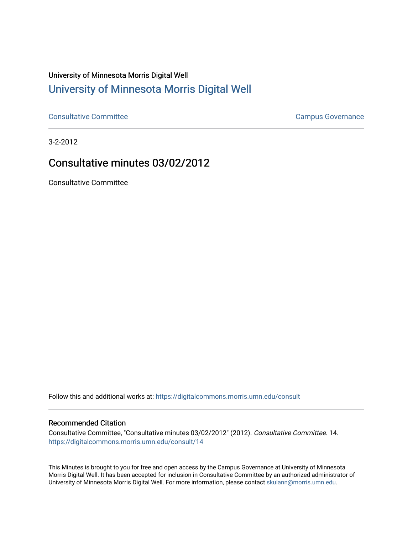## University of Minnesota Morris Digital Well [University of Minnesota Morris Digital Well](https://digitalcommons.morris.umn.edu/)

[Consultative Committee](https://digitalcommons.morris.umn.edu/consult) Committee Consultative Committee Consultative Committee Consultative Committee

3-2-2012

## Consultative minutes 03/02/2012

Consultative Committee

Follow this and additional works at: [https://digitalcommons.morris.umn.edu/consult](https://digitalcommons.morris.umn.edu/consult?utm_source=digitalcommons.morris.umn.edu%2Fconsult%2F14&utm_medium=PDF&utm_campaign=PDFCoverPages)

## Recommended Citation

Consultative Committee, "Consultative minutes 03/02/2012" (2012). Consultative Committee. 14. [https://digitalcommons.morris.umn.edu/consult/14](https://digitalcommons.morris.umn.edu/consult/14?utm_source=digitalcommons.morris.umn.edu%2Fconsult%2F14&utm_medium=PDF&utm_campaign=PDFCoverPages) 

This Minutes is brought to you for free and open access by the Campus Governance at University of Minnesota Morris Digital Well. It has been accepted for inclusion in Consultative Committee by an authorized administrator of University of Minnesota Morris Digital Well. For more information, please contact [skulann@morris.umn.edu](mailto:skulann@morris.umn.edu).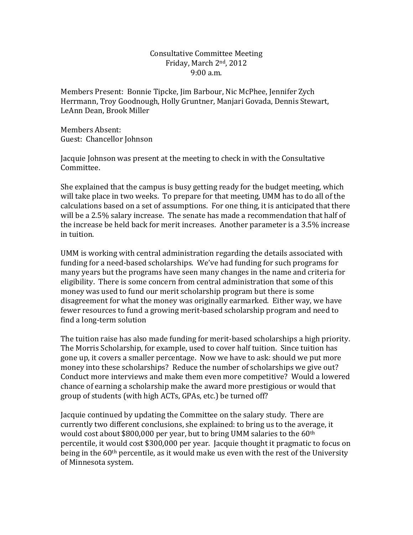## Consultative Committee Meeting Friday, March 2nd, 2012 9:00 a.m.

Members Present: Bonnie Tipcke, Jim Barbour, Nic McPhee, Jennifer Zych Herrmann, Troy Goodnough, Holly Gruntner, Manjari Govada, Dennis Stewart, LeAnn Dean, Brook Miller

Members Absent: Guest: Chancellor Johnson

Jacquie Johnson was present at the meeting to check in with the Consultative Committee.

She explained that the campus is busy getting ready for the budget meeting, which will take place in two weeks. To prepare for that meeting, UMM has to do all of the calculations based on a set of assumptions. For one thing, it is anticipated that there will be a 2.5% salary increase. The senate has made a recommendation that half of the increase be held back for merit increases. Another parameter is a 3.5% increase in tuition.

UMM is working with central administration regarding the details associated with funding for a need-based scholarships. We've had funding for such programs for many years but the programs have seen many changes in the name and criteria for eligibility. There is some concern from central administration that some of this money was used to fund our merit scholarship program but there is some disagreement for what the money was originally earmarked. Either way, we have fewer resources to fund a growing merit-based scholarship program and need to find a long-term solution

The tuition raise has also made funding for merit-based scholarships a high priority. The Morris Scholarship, for example, used to cover half tuition. Since tuition has gone up, it covers a smaller percentage. Now we have to ask: should we put more money into these scholarships? Reduce the number of scholarships we give out? Conduct more interviews and make them even more competitive? Would a lowered chance of earning a scholarship make the award more prestigious or would that group of students (with high ACTs, GPAs, etc.) be turned off?

Jacquie continued by updating the Committee on the salary study. There are currently two different conclusions, she explained: to bring us to the average, it would cost about \$800,000 per year, but to bring UMM salaries to the 60th percentile, it would cost \$300,000 per year. Jacquie thought it pragmatic to focus on being in the  $60<sup>th</sup>$  percentile, as it would make us even with the rest of the University of Minnesota system.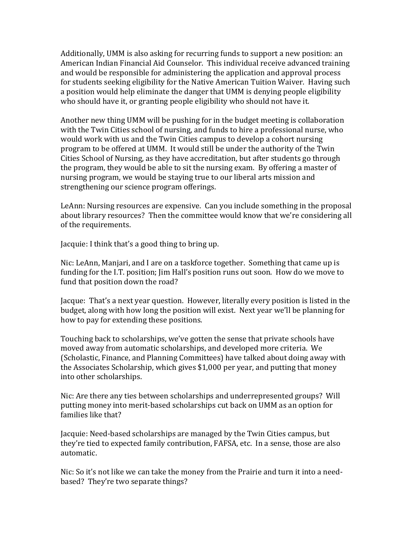Additionally, UMM is also asking for recurring funds to support a new position: an American Indian Financial Aid Counselor. This individual receive advanced training and would be responsible for administering the application and approval process for students seeking eligibility for the Native American Tuition Waiver. Having such a position would help eliminate the danger that UMM is denying people eligibility who should have it, or granting people eligibility who should not have it.

Another new thing UMM will be pushing for in the budget meeting is collaboration with the Twin Cities school of nursing, and funds to hire a professional nurse, who would work with us and the Twin Cities campus to develop a cohort nursing program to be offered at UMM. It would still be under the authority of the Twin Cities School of Nursing, as they have accreditation, but after students go through the program, they would be able to sit the nursing exam. By offering a master of nursing program, we would be staying true to our liberal arts mission and strengthening our science program offerings.

LeAnn: Nursing resources are expensive. Can you include something in the proposal about library resources? Then the committee would know that we're considering all of the requirements.

Jacquie: I think that's a good thing to bring up.

Nic: LeAnn, Manjari, and I are on a taskforce together. Something that came up is funding for the I.T. position; Jim Hall's position runs out soon. How do we move to fund that position down the road?

Jacque: That's a next year question. However, literally every position is listed in the budget, along with how long the position will exist. Next year we'll be planning for how to pay for extending these positions.

Touching back to scholarships, we've gotten the sense that private schools have moved away from automatic scholarships, and developed more criteria. We (Scholastic, Finance, and Planning Committees) have talked about doing away with the Associates Scholarship, which gives \$1,000 per year, and putting that money into other scholarships.

Nic: Are there any ties between scholarships and underrepresented groups? Will putting money into merit-based scholarships cut back on UMM as an option for families like that?

Jacquie: Need-based scholarships are managed by the Twin Cities campus, but they're tied to expected family contribution, FAFSA, etc. In a sense, those are also automatic.

Nic: So it's not like we can take the money from the Prairie and turn it into a needbased? They're two separate things?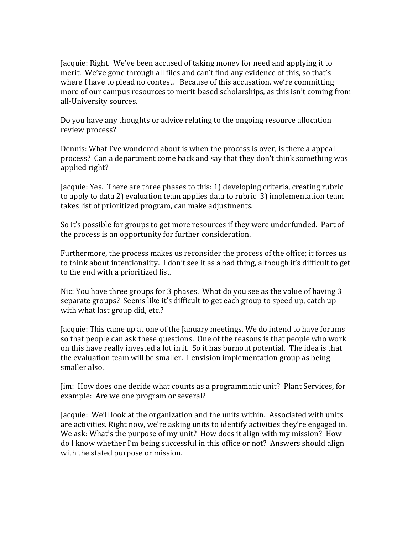Jacquie: Right. We've been accused of taking money for need and applying it to merit. We've gone through all files and can't find any evidence of this, so that's where I have to plead no contest. Because of this accusation, we're committing more of our campus resources to merit-based scholarships, as this isn't coming from all-University sources.

Do you have any thoughts or advice relating to the ongoing resource allocation review process?

Dennis: What I've wondered about is when the process is over, is there a appeal process? Can a department come back and say that they don't think something was applied right?

Jacquie: Yes. There are three phases to this: 1) developing criteria, creating rubric to apply to data 2) evaluation team applies data to rubric 3) implementation team takes list of prioritized program, can make adjustments.

So it's possible for groups to get more resources if they were underfunded. Part of the process is an opportunity for further consideration.

Furthermore, the process makes us reconsider the process of the office; it forces us to think about intentionality. I don't see it as a bad thing, although it's difficult to get to the end with a prioritized list.

Nic: You have three groups for 3 phases. What do you see as the value of having 3 separate groups? Seems like it's difficult to get each group to speed up, catch up with what last group did, etc.?

Jacquie: This came up at one of the January meetings. We do intend to have forums so that people can ask these questions. One of the reasons is that people who work on this have really invested a lot in it. So it has burnout potential. The idea is that the evaluation team will be smaller. I envision implementation group as being smaller also.

Jim: How does one decide what counts as a programmatic unit? Plant Services, for example: Are we one program or several?

Jacquie: We'll look at the organization and the units within. Associated with units are activities. Right now, we're asking units to identify activities they're engaged in. We ask: What's the purpose of my unit? How does it align with my mission? How do I know whether I'm being successful in this office or not? Answers should align with the stated purpose or mission.